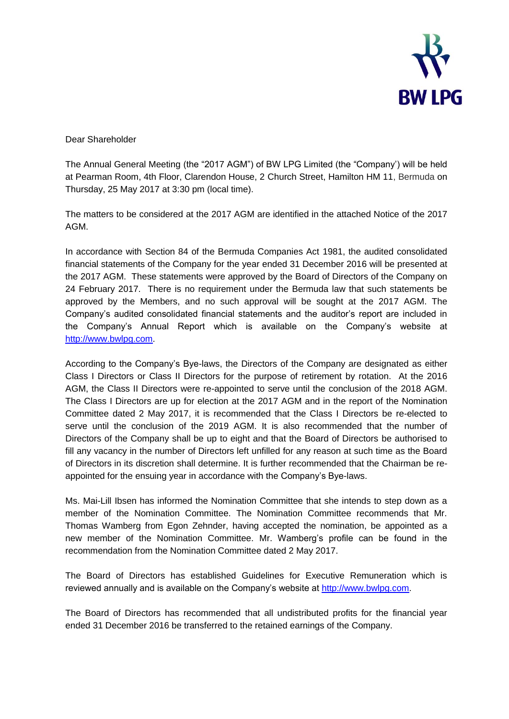

Dear Shareholder

The Annual General Meeting (the "2017 AGM") of BW LPG Limited (the "Company') will be held at Pearman Room, 4th Floor, Clarendon House, 2 Church Street, Hamilton HM 11, Bermuda on Thursday, 25 May 2017 at 3:30 pm (local time).

The matters to be considered at the 2017 AGM are identified in the attached Notice of the 2017 AGM.

In accordance with Section 84 of the Bermuda Companies Act 1981, the audited consolidated financial statements of the Company for the year ended 31 December 2016 will be presented at the 2017 AGM. These statements were approved by the Board of Directors of the Company on 24 February 2017. There is no requirement under the Bermuda law that such statements be approved by the Members, and no such approval will be sought at the 2017 AGM. The Company's audited consolidated financial statements and the auditor's report are included in the Company's Annual Report which is available on the Company's website at [http://www.bwlpg.com.](http://www.bwlpg.com/)

According to the Company's Bye-laws, the Directors of the Company are designated as either Class I Directors or Class II Directors for the purpose of retirement by rotation. At the 2016 AGM, the Class II Directors were re-appointed to serve until the conclusion of the 2018 AGM. The Class I Directors are up for election at the 2017 AGM and in the report of the Nomination Committee dated 2 May 2017, it is recommended that the Class I Directors be re-elected to serve until the conclusion of the 2019 AGM. It is also recommended that the number of Directors of the Company shall be up to eight and that the Board of Directors be authorised to fill any vacancy in the number of Directors left unfilled for any reason at such time as the Board of Directors in its discretion shall determine. It is further recommended that the Chairman be reappointed for the ensuing year in accordance with the Company's Bye-laws.

Ms. Mai-Lill Ibsen has informed the Nomination Committee that she intends to step down as a member of the Nomination Committee. The Nomination Committee recommends that Mr. Thomas Wamberg from Egon Zehnder, having accepted the nomination, be appointed as a new member of the Nomination Committee. Mr. Wamberg's profile can be found in the recommendation from the Nomination Committee dated 2 May 2017.

The Board of Directors has established Guidelines for Executive Remuneration which is reviewed annually and is available on the Company's website at [http://www.bwlpg.com.](http://www.bwlpg.com/)

The Board of Directors has recommended that all undistributed profits for the financial year ended 31 December 2016 be transferred to the retained earnings of the Company.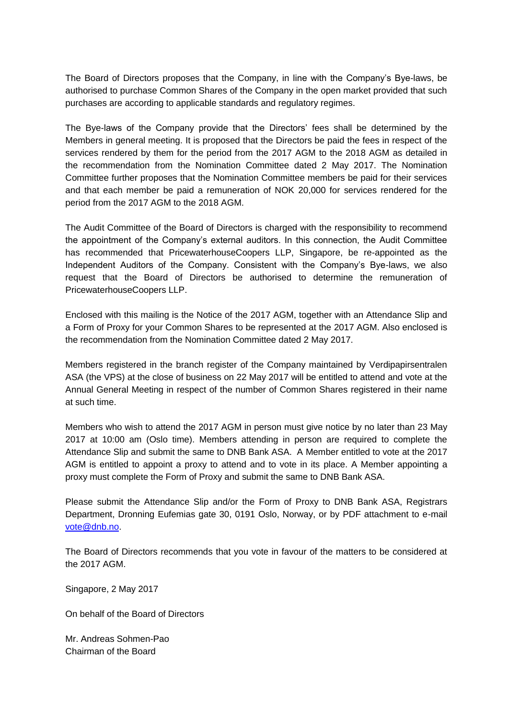The Board of Directors proposes that the Company, in line with the Company's Bye-laws, be authorised to purchase Common Shares of the Company in the open market provided that such purchases are according to applicable standards and regulatory regimes.

The Bye-laws of the Company provide that the Directors' fees shall be determined by the Members in general meeting. It is proposed that the Directors be paid the fees in respect of the services rendered by them for the period from the 2017 AGM to the 2018 AGM as detailed in the recommendation from the Nomination Committee dated 2 May 2017. The Nomination Committee further proposes that the Nomination Committee members be paid for their services and that each member be paid a remuneration of NOK 20,000 for services rendered for the period from the 2017 AGM to the 2018 AGM.

The Audit Committee of the Board of Directors is charged with the responsibility to recommend the appointment of the Company's external auditors. In this connection, the Audit Committee has recommended that PricewaterhouseCoopers LLP, Singapore, be re-appointed as the Independent Auditors of the Company. Consistent with the Company's Bye-laws, we also request that the Board of Directors be authorised to determine the remuneration of PricewaterhouseCoopers LLP.

Enclosed with this mailing is the Notice of the 2017 AGM, together with an Attendance Slip and a Form of Proxy for your Common Shares to be represented at the 2017 AGM. Also enclosed is the recommendation from the Nomination Committee dated 2 May 2017.

Members registered in the branch register of the Company maintained by Verdipapirsentralen ASA (the VPS) at the close of business on 22 May 2017 will be entitled to attend and vote at the Annual General Meeting in respect of the number of Common Shares registered in their name at such time.

Members who wish to attend the 2017 AGM in person must give notice by no later than 23 May 2017 at 10:00 am (Oslo time). Members attending in person are required to complete the Attendance Slip and submit the same to DNB Bank ASA. A Member entitled to vote at the 2017 AGM is entitled to appoint a proxy to attend and to vote in its place. A Member appointing a proxy must complete the Form of Proxy and submit the same to DNB Bank ASA.

Please submit the Attendance Slip and/or the Form of Proxy to DNB Bank ASA, Registrars Department, Dronning Eufemias gate 30, 0191 Oslo, Norway, or by PDF attachment to e-mail [vote@dnb.no.](mailto:vote@dnb.no)

The Board of Directors recommends that you vote in favour of the matters to be considered at the 2017 AGM.

Singapore, 2 May 2017

On behalf of the Board of Directors

Mr. Andreas Sohmen-Pao Chairman of the Board